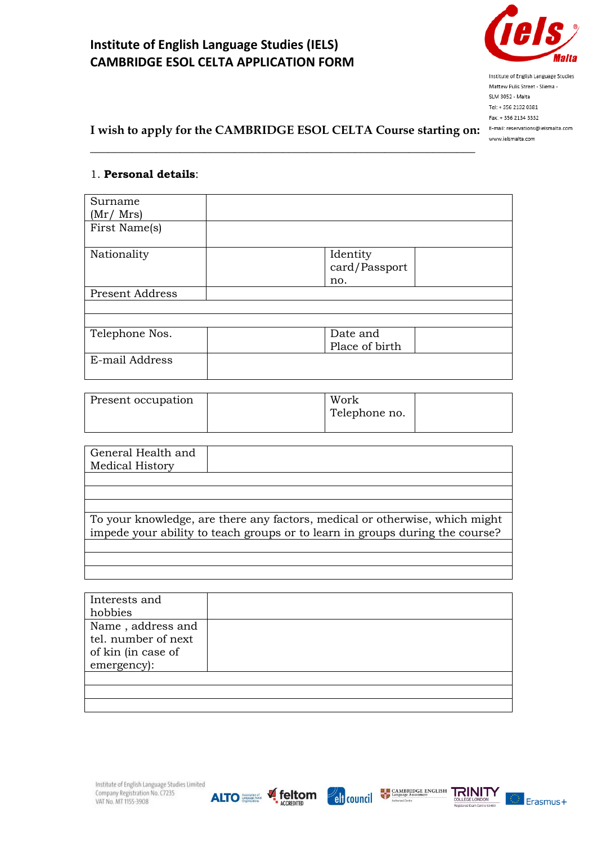

Institute of English Language Studies Mattew Pulis Street - Sliema -SLM 3052 - Malta Tel: + 356 2132 0381 Fax: + 356 2134 3332 E-mail: reservations@ielsmalta.com www.ielsmalta.com

# **I wish to apply for the CAMBRIDGE ESOL CELTA Course starting on:**

\_\_\_\_\_\_\_\_\_\_\_\_\_\_\_\_\_\_\_\_\_\_\_\_\_\_\_\_\_\_\_\_\_\_\_\_\_\_\_\_\_\_\_\_\_\_\_\_\_\_\_\_\_\_\_\_\_\_\_\_\_\_\_\_

#### 1. **Personal details**:

| Surname<br>(Mr / Mrs)  |                                  |
|------------------------|----------------------------------|
| First Name(s)          |                                  |
| Nationality            | Identity<br>card/Passport<br>no. |
| <b>Present Address</b> |                                  |
|                        |                                  |
| Telephone Nos.         | Date and<br>Place of birth       |
| E-mail Address         |                                  |

| Present occupation | Work<br>Telephone no. |  |
|--------------------|-----------------------|--|
|                    |                       |  |

| General Health and |                                                                              |
|--------------------|------------------------------------------------------------------------------|
| Medical History    |                                                                              |
|                    |                                                                              |
|                    |                                                                              |
|                    |                                                                              |
|                    | To your knowledge, are there any factors, medical or otherwise, which might  |
|                    | impede your ability to teach groups or to learn in groups during the course? |
|                    |                                                                              |

| Interests and       |  |
|---------------------|--|
| hobbies             |  |
| Name, address and   |  |
| tel. number of next |  |
| of kin (in case of  |  |
| emergency):         |  |
|                     |  |
|                     |  |
|                     |  |









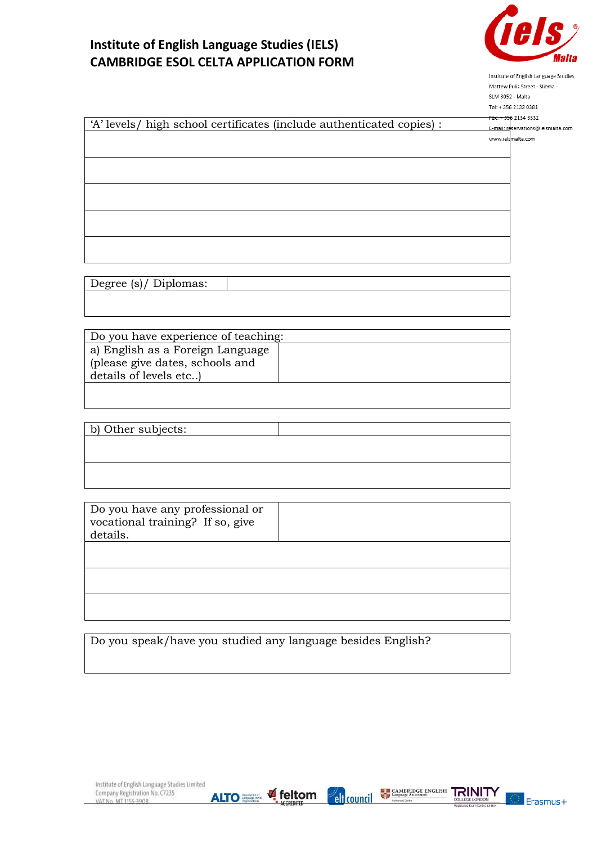

Institute of English Language Studies Mattew Pulis Street - Sliema -SLM 3052 - Malta

|                                                                       | Tel: +356 2132 0381                |
|-----------------------------------------------------------------------|------------------------------------|
|                                                                       | Fax: + 356 2134 3332               |
| 'A' levels/ high school certificates (include authenticated copies) : | E-mail: reservations@ielsmalta.com |
|                                                                       | www.ielsmalta.com                  |
|                                                                       |                                    |
|                                                                       |                                    |
|                                                                       |                                    |
|                                                                       |                                    |
|                                                                       |                                    |
|                                                                       |                                    |
|                                                                       |                                    |
|                                                                       |                                    |
|                                                                       |                                    |
|                                                                       |                                    |
|                                                                       |                                    |
|                                                                       |                                    |

| $\sqrt{ }$<br>$\lceil \alpha \rceil$<br>D <sub>1</sub> plomas:<br>I)eoree' |  |
|----------------------------------------------------------------------------|--|
|                                                                            |  |

| Do you have experience of teaching:                                                            |  |
|------------------------------------------------------------------------------------------------|--|
| a) English as a Foreign Language  <br>please give dates, schools and<br>details of levels etc) |  |
|                                                                                                |  |

| b) Other subjects: |  |
|--------------------|--|
|                    |  |
|                    |  |
|                    |  |
|                    |  |

| Do you have any professional or<br>vocational training? If so, give<br>details. |  |
|---------------------------------------------------------------------------------|--|
|                                                                                 |  |
|                                                                                 |  |
|                                                                                 |  |

Do you speak/have you studied any language besides English?



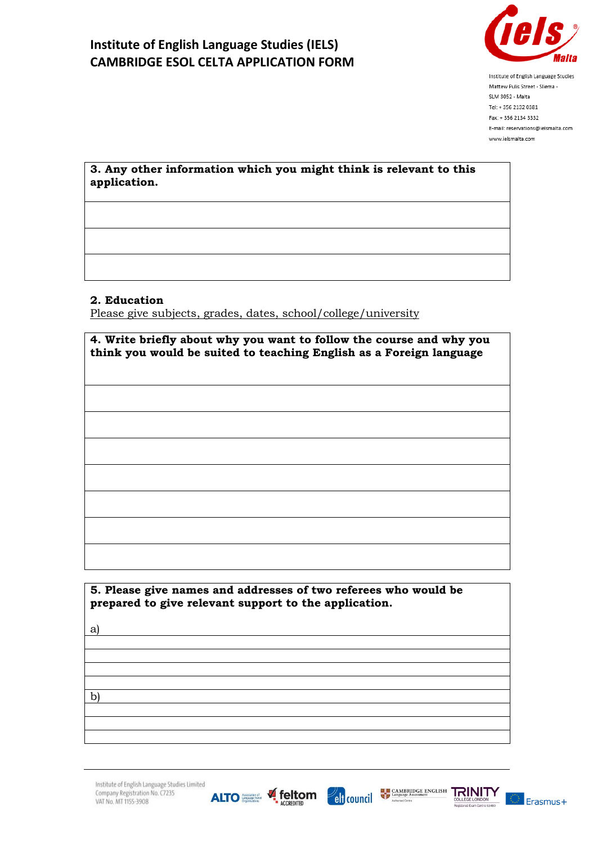

Institute of English Language Studies Mattew Pulis Street - Sliema -SLM 3052 - Malta Tel: + 356 2132 0381 Fax: +356 2134 3332 E-mail: reservations@ielsmalta.com www.ielsmalta.com

**3. Any other information which you might think is relevant to this application.**

#### **2. Education**

Please give subjects, grades, dates, school/college/university

| 4. Write briefly about why you want to follow the course and why you<br>think you would be suited to teaching English as a Foreign language |
|---------------------------------------------------------------------------------------------------------------------------------------------|
|                                                                                                                                             |
|                                                                                                                                             |
|                                                                                                                                             |
|                                                                                                                                             |
|                                                                                                                                             |
|                                                                                                                                             |

**5. Please give names and addresses of two referees who would be prepared to give relevant support to the application.**

a)

b)

Institute of English Language Studies Limited Company Registration No. C7235 VAT No. MT 1155-3908